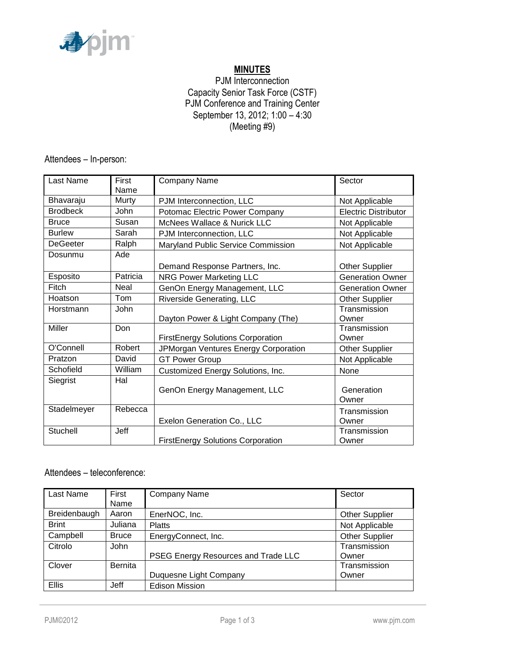

# **MINUTES**

## PJM Interconnection Capacity Senior Task Force (CSTF) PJM Conference and Training Center September 13, 2012; 1:00 – 4:30 (Meeting #9)

Attendees – In-person:

| Last Name       | First<br>Name | <b>Company Name</b>                      | Sector                      |
|-----------------|---------------|------------------------------------------|-----------------------------|
| Bhavaraju       | Murty         | PJM Interconnection, LLC                 | Not Applicable              |
| <b>Brodbeck</b> | John          | Potomac Electric Power Company           | <b>Electric Distributor</b> |
| <b>Bruce</b>    | Susan         | McNees Wallace & Nurick LLC              | Not Applicable              |
| <b>Burlew</b>   | Sarah         | PJM Interconnection, LLC                 | Not Applicable              |
| <b>DeGeeter</b> | Ralph         | Maryland Public Service Commission       | Not Applicable              |
| Dosunmu         | Ade           |                                          |                             |
|                 |               | Demand Response Partners, Inc.           | <b>Other Supplier</b>       |
| Esposito        | Patricia      | <b>NRG Power Marketing LLC</b>           | <b>Generation Owner</b>     |
| Fitch           | Neal          | GenOn Energy Management, LLC             | <b>Generation Owner</b>     |
| Hoatson         | Tom           | Riverside Generating, LLC                | <b>Other Supplier</b>       |
| Horstmann       | John          | Dayton Power & Light Company (The)       | Transmission<br>Owner       |
| <b>Miller</b>   | Don           |                                          | Transmission                |
|                 |               | <b>FirstEnergy Solutions Corporation</b> | Owner                       |
| O'Connell       | Robert        | JPMorgan Ventures Energy Corporation     | <b>Other Supplier</b>       |
| Pratzon         | David         | <b>GT Power Group</b>                    | Not Applicable              |
| Schofield       | William       | Customized Energy Solutions, Inc.        | None                        |
| Siegrist        | Hal           | GenOn Energy Management, LLC             | Generation<br>Owner         |
| Stadelmeyer     | Rebecca       |                                          | Transmission                |
|                 |               | Exelon Generation Co., LLC               | Owner                       |
| Stuchell        | Jeff          | <b>FirstEnergy Solutions Corporation</b> | Transmission<br>Owner       |

## Attendees – teleconference:

| Last Name    | First          | <b>Company Name</b>                 | Sector                |
|--------------|----------------|-------------------------------------|-----------------------|
|              | Name           |                                     |                       |
| Breidenbaugh | Aaron          | EnerNOC, Inc.                       | <b>Other Supplier</b> |
| <b>Brint</b> | Juliana        | <b>Platts</b>                       | Not Applicable        |
| Campbell     | <b>Bruce</b>   | EnergyConnect, Inc.                 | <b>Other Supplier</b> |
| Citrolo      | John           |                                     | Transmission          |
|              |                | PSEG Energy Resources and Trade LLC | Owner                 |
| Clover       | <b>Bernita</b> |                                     | Transmission          |
|              |                | Duquesne Light Company              | Owner                 |
| <b>Ellis</b> | Jeff           | <b>Edison Mission</b>               |                       |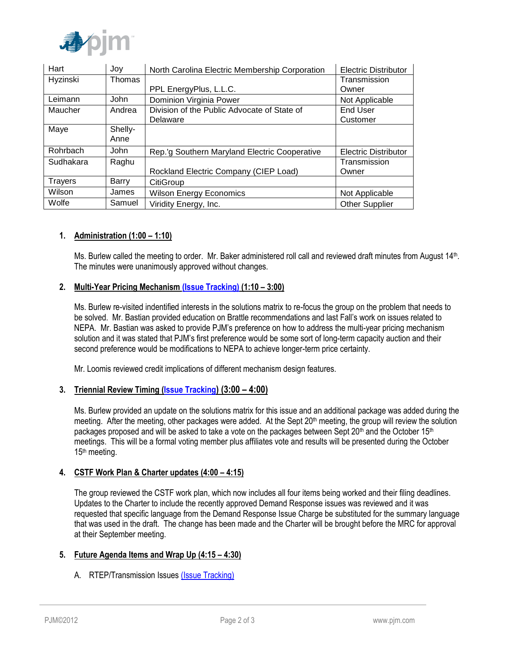

| Hart      | Joy         | North Carolina Electric Membership Corporation | <b>Electric Distributor</b> |
|-----------|-------------|------------------------------------------------|-----------------------------|
| Hyzinski  | Thomas      |                                                | Transmission                |
|           |             | PPL EnergyPlus, L.L.C.                         | Owner                       |
| Leimann   | <b>John</b> | Dominion Virginia Power                        | Not Applicable              |
| Maucher   | Andrea      | Division of the Public Advocate of State of    | End User                    |
|           |             | Delaware                                       | Customer                    |
| Maye      | Shelly-     |                                                |                             |
|           | Anne        |                                                |                             |
| Rohrbach  | <b>John</b> | Rep.'g Southern Maryland Electric Cooperative  | <b>Electric Distributor</b> |
| Sudhakara | Raghu       |                                                | Transmission                |
|           |             | Rockland Electric Company (CIEP Load)          | Owner                       |
| Trayers   | Barry       | CitiGroup                                      |                             |
| Wilson    | James       | <b>Wilson Energy Economics</b>                 | Not Applicable              |
| Wolfe     | Samuel      | Viridity Energy, Inc.                          | <b>Other Supplier</b>       |

## **1. Administration (1:00 – 1:10)**

Ms. Burlew called the meeting to order. Mr. Baker administered roll call and reviewed draft minutes from August 14<sup>th</sup>. The minutes were unanimously approved without changes.

### **2. Multi-Year Pricing Mechanism [\(Issue Tracking\)](http://www.pjm.com/committees-and-groups/issue-tracking/issue-tracking-details.aspx?Issue=%7bB709F188-450F-4A06-A5EB-BD61B601C9EF%7d) (1:10 – 3:00)**

Ms. Burlew re-visited indentified interests in the solutions matrix to re-focus the group on the problem that needs to be solved. Mr. Bastian provided education on Brattle recommendations and last Fall's work on issues related to NEPA. Mr. Bastian was asked to provide PJM's preference on how to address the multi-year pricing mechanism solution and it was stated that PJM's first preference would be some sort of long-term capacity auction and their second preference would be modifications to NEPA to achieve longer-term price certainty.

Mr. Loomis reviewed credit implications of different mechanism design features.

### **3. Triennial Review Timing [\(Issue Tracking](http://www.pjm.com/committees-and-groups/issue-tracking/issue-tracking-details.aspx?Issue=%7b46B1B663-44CF-4541-9403-631413A347B5%7d)[\)](http://www.pjm.com/committees-and-groups/issue-tracking/issue-tracking-details.aspx?Issue=%7b46B1B663-44CF-4541-9403-631413A347B5%7d) (3:00 – 4:00)**

Ms. Burlew provided an update on the solutions matrix for this issue and an additional package was added during the meeting. After the meeting, other packages were added. At the Sept  $20<sup>th</sup>$  meeting, the group will review the solution packages proposed and will be asked to take a vote on the packages between Sept 20<sup>th</sup> and the October 15<sup>th</sup> meetings. This will be a formal voting member plus affiliates vote and results will be presented during the October 15th meeting.

#### **4. CSTF Work Plan & Charter updates (4:00 – 4:15)**

The group reviewed the CSTF work plan, which now includes all four items being worked and their filing deadlines. Updates to the Charter to include the recently approved Demand Response issues was reviewed and it was requested that specific language from the Demand Response Issue Charge be substituted for the summary language that was used in the draft. The change has been made and the Charter will be brought before the MRC for approval at their September meeting.

#### **5. Future Agenda Items and Wrap Up (4:15 – 4:30)**

A. RTEP/Transmission Issues [\(Issue Tracking\)](http://www.pjm.com/committees-and-groups/issue-tracking/issue-tracking-details.aspx?Issue=%7bBB8F79E5-1004-41BD-9AC0-BB59FF349CA8%7d)